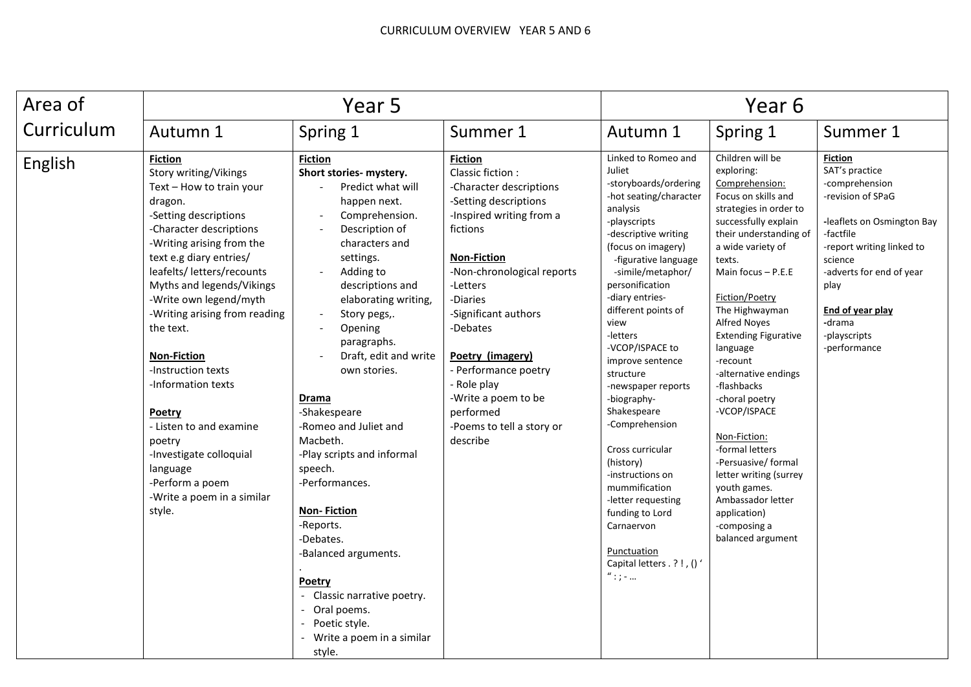| Area of    | Year 5                                                                                                                                                                                                                                                                                                                                                                                                                                                                                                                                           |                                                                                                                                                                                                                                                                                                                                                                                                                                                                                                                                                                                                                                                                                          |                                                                                                                                                                                                                                                                                                                                                                                        | Year 6                                                                                                                                                                                                                                                                                                                                                                                                                                                                                                                                                                                                   |                                                                                                                                                                                                                                                                                                                                                                                                                                                                                                                                                                                     |                                                                                                                                                                                                                                                              |
|------------|--------------------------------------------------------------------------------------------------------------------------------------------------------------------------------------------------------------------------------------------------------------------------------------------------------------------------------------------------------------------------------------------------------------------------------------------------------------------------------------------------------------------------------------------------|------------------------------------------------------------------------------------------------------------------------------------------------------------------------------------------------------------------------------------------------------------------------------------------------------------------------------------------------------------------------------------------------------------------------------------------------------------------------------------------------------------------------------------------------------------------------------------------------------------------------------------------------------------------------------------------|----------------------------------------------------------------------------------------------------------------------------------------------------------------------------------------------------------------------------------------------------------------------------------------------------------------------------------------------------------------------------------------|----------------------------------------------------------------------------------------------------------------------------------------------------------------------------------------------------------------------------------------------------------------------------------------------------------------------------------------------------------------------------------------------------------------------------------------------------------------------------------------------------------------------------------------------------------------------------------------------------------|-------------------------------------------------------------------------------------------------------------------------------------------------------------------------------------------------------------------------------------------------------------------------------------------------------------------------------------------------------------------------------------------------------------------------------------------------------------------------------------------------------------------------------------------------------------------------------------|--------------------------------------------------------------------------------------------------------------------------------------------------------------------------------------------------------------------------------------------------------------|
| Curriculum | Autumn 1                                                                                                                                                                                                                                                                                                                                                                                                                                                                                                                                         | Spring 1                                                                                                                                                                                                                                                                                                                                                                                                                                                                                                                                                                                                                                                                                 | Summer 1                                                                                                                                                                                                                                                                                                                                                                               | Autumn 1                                                                                                                                                                                                                                                                                                                                                                                                                                                                                                                                                                                                 | Spring 1                                                                                                                                                                                                                                                                                                                                                                                                                                                                                                                                                                            | Summer 1                                                                                                                                                                                                                                                     |
| English    | <b>Fiction</b><br>Story writing/Vikings<br>Text - How to train your<br>dragon.<br>-Setting descriptions<br>-Character descriptions<br>-Writing arising from the<br>text e.g diary entries/<br>leafelts/ letters/recounts<br>Myths and legends/Vikings<br>-Write own legend/myth<br>-Writing arising from reading<br>the text.<br><b>Non-Fiction</b><br>-Instruction texts<br>-Information texts<br>Poetry<br>- Listen to and examine<br>poetry<br>-Investigate colloquial<br>language<br>-Perform a poem<br>-Write a poem in a similar<br>style. | <b>Fiction</b><br>Short stories- mystery.<br>Predict what will<br>happen next.<br>Comprehension.<br>$\overline{\phantom{a}}$<br>Description of<br>characters and<br>settings.<br>Adding to<br>$\blacksquare$<br>descriptions and<br>elaborating writing,<br>Story pegs,.<br>Opening<br>$\overline{\phantom{a}}$<br>paragraphs.<br>Draft, edit and write<br>own stories.<br>Drama<br>-Shakespeare<br>-Romeo and Juliet and<br>Macbeth.<br>-Play scripts and informal<br>speech.<br>-Performances.<br><b>Non-Fiction</b><br>-Reports.<br>-Debates.<br>-Balanced arguments.<br>Poetry<br>- Classic narrative poetry.<br>Oral poems.<br>Poetic style.<br>Write a poem in a similar<br>style. | <b>Fiction</b><br>Classic fiction:<br>-Character descriptions<br>-Setting descriptions<br>-Inspired writing from a<br>fictions<br><b>Non-Fiction</b><br>-Non-chronological reports<br>-Letters<br>-Diaries<br>-Significant authors<br>-Debates<br>Poetry (imagery)<br>- Performance poetry<br>- Role play<br>-Write a poem to be<br>performed<br>-Poems to tell a story or<br>describe | Linked to Romeo and<br>Juliet<br>-storyboards/ordering<br>-hot seating/character<br>analysis<br>-playscripts<br>-descriptive writing<br>(focus on imagery)<br>-figurative language<br>-simile/metaphor/<br>personification<br>-diary entries-<br>different points of<br>view<br>-letters<br>-VCOP/ISPACE to<br>improve sentence<br>structure<br>-newspaper reports<br>-biography-<br>Shakespeare<br>-Comprehension<br>Cross curricular<br>(history)<br>-instructions on<br>mummification<br>-letter requesting<br>funding to Lord<br>Carnaervon<br>Punctuation<br>Capital letters . ?!, ()'<br>$"$ : ; - | Children will be<br>exploring:<br>Comprehension:<br>Focus on skills and<br>strategies in order to<br>successfully explain<br>their understanding of<br>a wide variety of<br>texts.<br>Main focus $-$ P.E.E<br>Fiction/Poetry<br>The Highwayman<br><b>Alfred Noyes</b><br><b>Extending Figurative</b><br>language<br>-recount<br>-alternative endings<br>-flashbacks<br>-choral poetry<br>-VCOP/ISPACE<br>Non-Fiction:<br>-formal letters<br>-Persuasive/ formal<br>letter writing (surrey<br>youth games.<br>Ambassador letter<br>application)<br>-composing a<br>balanced argument | <b>Fiction</b><br>SAT's practice<br>-comprehension<br>-revision of SPaG<br>-leaflets on Osmington Bay<br>-factfile<br>-report writing linked to<br>science<br>-adverts for end of year<br>play<br>End of year play<br>-drama<br>-playscripts<br>-performance |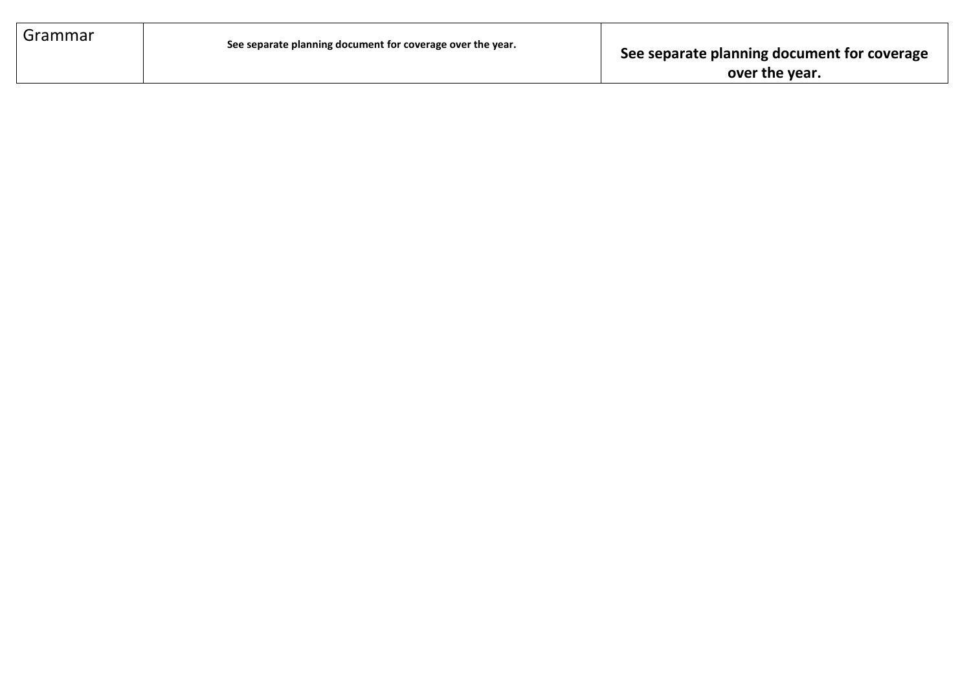| Grammar | See separate planning document for coverage over the year. | See separate planning document for coverage<br>over the year. |
|---------|------------------------------------------------------------|---------------------------------------------------------------|
|         |                                                            |                                                               |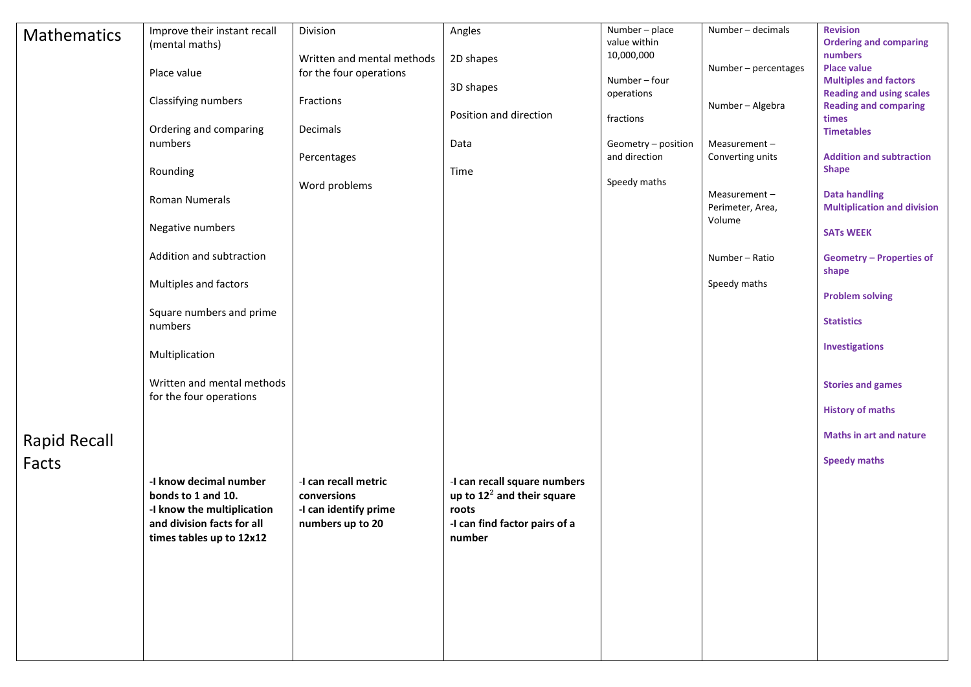| <b>Mathematics</b>  | Improve their instant recall                             | Division                                  | Angles                                 | Number - place              | Number - decimals          | <b>Revision</b>                                                 |
|---------------------|----------------------------------------------------------|-------------------------------------------|----------------------------------------|-----------------------------|----------------------------|-----------------------------------------------------------------|
|                     | (mental maths)                                           | Written and mental methods                | 2D shapes                              | value within<br>10,000,000  |                            | <b>Ordering and comparing</b><br>numbers                        |
|                     | Place value                                              | for the four operations                   |                                        |                             | Number - percentages       | <b>Place value</b>                                              |
|                     |                                                          |                                           | 3D shapes                              | Number - four<br>operations |                            | <b>Multiples and factors</b><br><b>Reading and using scales</b> |
|                     | Classifying numbers                                      | Fractions                                 |                                        |                             | Number - Algebra           | <b>Reading and comparing</b>                                    |
|                     | Ordering and comparing                                   | Decimals                                  | Position and direction                 | fractions                   |                            | times<br><b>Timetables</b>                                      |
|                     | numbers                                                  |                                           | Data                                   | Geometry - position         | Measurement-               |                                                                 |
|                     |                                                          | Percentages                               |                                        | and direction               | Converting units           | <b>Addition and subtraction</b>                                 |
|                     | Rounding                                                 |                                           | Time                                   | Speedy maths                |                            | <b>Shape</b>                                                    |
|                     | Roman Numerals                                           | Word problems                             |                                        |                             | Measurement-               | <b>Data handling</b>                                            |
|                     |                                                          |                                           |                                        |                             | Perimeter, Area,<br>Volume | <b>Multiplication and division</b>                              |
|                     | Negative numbers                                         |                                           |                                        |                             |                            | <b>SATs WEEK</b>                                                |
|                     | Addition and subtraction                                 |                                           |                                        |                             | Number - Ratio             | <b>Geometry - Properties of</b>                                 |
|                     | Multiples and factors                                    |                                           |                                        |                             | Speedy maths               | shape                                                           |
|                     |                                                          |                                           |                                        |                             |                            | <b>Problem solving</b>                                          |
|                     | Square numbers and prime<br>numbers                      |                                           |                                        |                             |                            | <b>Statistics</b>                                               |
|                     | Multiplication                                           |                                           |                                        |                             |                            | Investigations                                                  |
|                     | Written and mental methods<br>for the four operations    |                                           |                                        |                             |                            | <b>Stories and games</b>                                        |
|                     |                                                          |                                           |                                        |                             |                            | <b>History of maths</b>                                         |
| <b>Rapid Recall</b> |                                                          |                                           |                                        |                             |                            | <b>Maths in art and nature</b>                                  |
| Facts               |                                                          |                                           |                                        |                             |                            | <b>Speedy maths</b>                                             |
|                     | -I know decimal number                                   | -I can recall metric                      | -I can recall square numbers           |                             |                            |                                                                 |
|                     | bonds to 1 and 10.                                       | conversions                               | up to $12^2$ and their square          |                             |                            |                                                                 |
|                     | -I know the multiplication<br>and division facts for all | -I can identify prime<br>numbers up to 20 | roots<br>-I can find factor pairs of a |                             |                            |                                                                 |
|                     | times tables up to 12x12                                 |                                           | number                                 |                             |                            |                                                                 |
|                     |                                                          |                                           |                                        |                             |                            |                                                                 |
|                     |                                                          |                                           |                                        |                             |                            |                                                                 |
|                     |                                                          |                                           |                                        |                             |                            |                                                                 |
|                     |                                                          |                                           |                                        |                             |                            |                                                                 |
|                     |                                                          |                                           |                                        |                             |                            |                                                                 |
|                     |                                                          |                                           |                                        |                             |                            |                                                                 |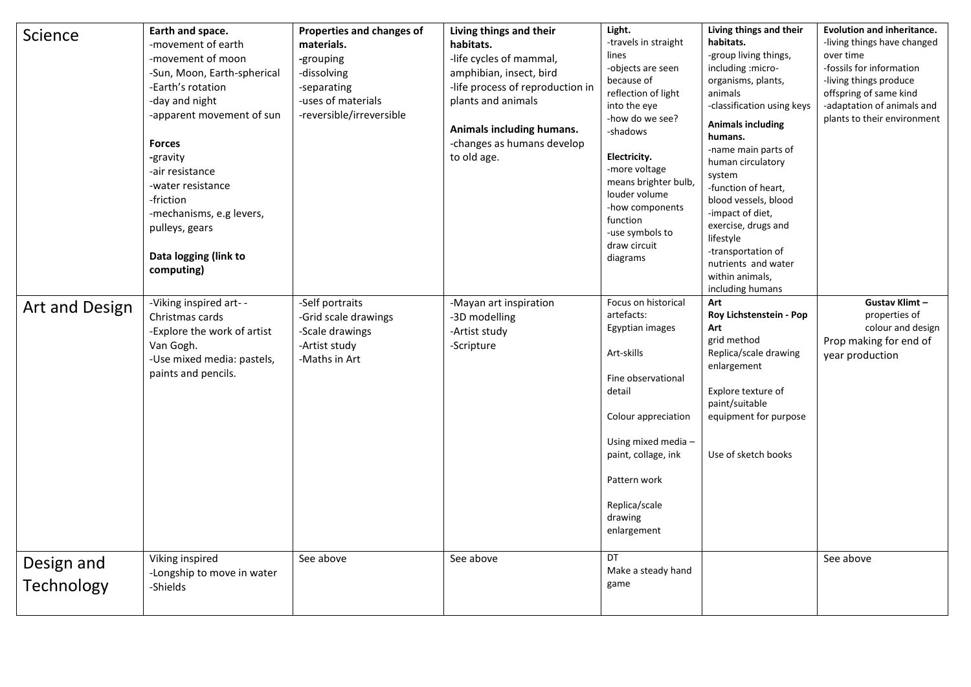| Science                  | Earth and space.<br>-movement of earth<br>-movement of moon<br>-Sun, Moon, Earth-spherical<br>-Earth's rotation<br>-day and night<br>-apparent movement of sun<br><b>Forces</b><br>-gravity<br>-air resistance<br>-water resistance<br>-friction<br>-mechanisms, e.g levers,<br>pulleys, gears<br>Data logging (link to<br>computing) | Properties and changes of<br>materials.<br>-grouping<br>-dissolving<br>-separating<br>-uses of materials<br>-reversible/irreversible | Living things and their<br>habitats.<br>-life cycles of mammal,<br>amphibian, insect, bird<br>-life process of reproduction in<br>plants and animals<br>Animals including humans.<br>-changes as humans develop<br>to old age. | Light.<br>-travels in straight<br>lines<br>-objects are seen<br>because of<br>reflection of light<br>into the eye<br>-how do we see?<br>-shadows<br>Electricity.<br>-more voltage<br>means brighter bulb,<br>louder volume<br>-how components<br>function<br>-use symbols to<br>draw circuit<br>diagrams | Living things and their<br>habitats.<br>-group living things,<br>including :micro-<br>organisms, plants,<br>animals<br>-classification using keys<br><b>Animals including</b><br>humans.<br>-name main parts of<br>human circulatory<br>system<br>-function of heart,<br>blood vessels, blood<br>-impact of diet,<br>exercise, drugs and<br>lifestyle<br>-transportation of<br>nutrients and water<br>within animals,<br>including humans | <b>Evolution and inheritance.</b><br>-living things have changed<br>over time<br>-fossils for information<br>-living things produce<br>offspring of same kind<br>-adaptation of animals and<br>plants to their environment |
|--------------------------|---------------------------------------------------------------------------------------------------------------------------------------------------------------------------------------------------------------------------------------------------------------------------------------------------------------------------------------|--------------------------------------------------------------------------------------------------------------------------------------|--------------------------------------------------------------------------------------------------------------------------------------------------------------------------------------------------------------------------------|----------------------------------------------------------------------------------------------------------------------------------------------------------------------------------------------------------------------------------------------------------------------------------------------------------|-------------------------------------------------------------------------------------------------------------------------------------------------------------------------------------------------------------------------------------------------------------------------------------------------------------------------------------------------------------------------------------------------------------------------------------------|----------------------------------------------------------------------------------------------------------------------------------------------------------------------------------------------------------------------------|
| Art and Design           | -Viking inspired art--<br>Christmas cards<br>-Explore the work of artist<br>Van Gogh.<br>-Use mixed media: pastels,<br>paints and pencils.                                                                                                                                                                                            | -Self portraits<br>-Grid scale drawings<br>-Scale drawings<br>-Artist study<br>-Maths in Art                                         | -Mayan art inspiration<br>-3D modelling<br>-Artist study<br>-Scripture                                                                                                                                                         | Focus on historical<br>artefacts:<br>Egyptian images<br>Art-skills<br>Fine observational<br>detail<br>Colour appreciation<br>Using mixed media -<br>paint, collage, ink<br>Pattern work<br>Replica/scale<br>drawing<br>enlargement                                                                       | Art<br>Roy Lichstenstein - Pop<br>Art<br>grid method<br>Replica/scale drawing<br>enlargement<br>Explore texture of<br>paint/suitable<br>equipment for purpose<br>Use of sketch books                                                                                                                                                                                                                                                      | Gustav Klimt-<br>properties of<br>colour and design<br>Prop making for end of<br>year production                                                                                                                           |
| Design and<br>Technology | Viking inspired<br>-Longship to move in water<br>-Shields                                                                                                                                                                                                                                                                             | See above                                                                                                                            | See above                                                                                                                                                                                                                      | DT.<br>Make a steady hand<br>game                                                                                                                                                                                                                                                                        |                                                                                                                                                                                                                                                                                                                                                                                                                                           | See above                                                                                                                                                                                                                  |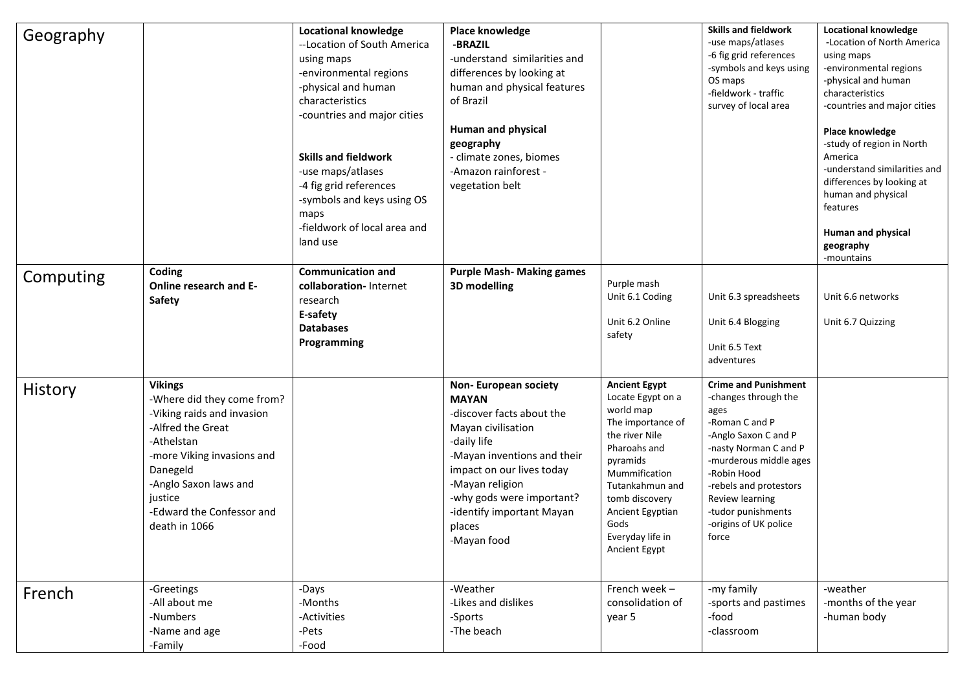| Geography |                                                                                                                                                                                                                                           | <b>Locational knowledge</b><br>--Location of South America<br>using maps<br>-environmental regions<br>-physical and human<br>characteristics<br>-countries and major cities<br><b>Skills and fieldwork</b><br>-use maps/atlases<br>-4 fig grid references<br>-symbols and keys using OS<br>maps<br>-fieldwork of local area and<br>land use | Place knowledge<br>-BRAZIL<br>-understand similarities and<br>differences by looking at<br>human and physical features<br>of Brazil<br>Human and physical<br>geography<br>- climate zones, biomes<br>-Amazon rainforest -<br>vegetation belt                                    |                                                                                                                                                                                                                                                  | <b>Skills and fieldwork</b><br>-use maps/atlases<br>-6 fig grid references<br>-symbols and keys using<br>OS maps<br>-fieldwork - traffic<br>survey of local area                                                                                                             | <b>Locational knowledge</b><br>-Location of North America<br>using maps<br>-environmental regions<br>-physical and human<br>characteristics<br>-countries and major cities<br>Place knowledge<br>-study of region in North<br>America<br>-understand similarities and<br>differences by looking at<br>human and physical<br>features<br><b>Human and physical</b><br>geography<br>-mountains |
|-----------|-------------------------------------------------------------------------------------------------------------------------------------------------------------------------------------------------------------------------------------------|---------------------------------------------------------------------------------------------------------------------------------------------------------------------------------------------------------------------------------------------------------------------------------------------------------------------------------------------|---------------------------------------------------------------------------------------------------------------------------------------------------------------------------------------------------------------------------------------------------------------------------------|--------------------------------------------------------------------------------------------------------------------------------------------------------------------------------------------------------------------------------------------------|------------------------------------------------------------------------------------------------------------------------------------------------------------------------------------------------------------------------------------------------------------------------------|----------------------------------------------------------------------------------------------------------------------------------------------------------------------------------------------------------------------------------------------------------------------------------------------------------------------------------------------------------------------------------------------|
| Computing | Coding<br>Online research and E-<br>Safety                                                                                                                                                                                                | <b>Communication and</b><br>collaboration-Internet<br>research<br>E-safety<br><b>Databases</b><br>Programming                                                                                                                                                                                                                               | <b>Purple Mash- Making games</b><br>3D modelling                                                                                                                                                                                                                                | Purple mash<br>Unit 6.1 Coding<br>Unit 6.2 Online<br>safety                                                                                                                                                                                      | Unit 6.3 spreadsheets<br>Unit 6.4 Blogging<br>Unit 6.5 Text<br>adventures                                                                                                                                                                                                    | Unit 6.6 networks<br>Unit 6.7 Quizzing                                                                                                                                                                                                                                                                                                                                                       |
| History   | <b>Vikings</b><br>-Where did they come from?<br>-Viking raids and invasion<br>-Alfred the Great<br>-Athelstan<br>-more Viking invasions and<br>Danegeld<br>-Anglo Saxon laws and<br>justice<br>-Edward the Confessor and<br>death in 1066 |                                                                                                                                                                                                                                                                                                                                             | <b>Non-European society</b><br><b>MAYAN</b><br>-discover facts about the<br>Mayan civilisation<br>-daily life<br>-Mayan inventions and their<br>impact on our lives today<br>-Mayan religion<br>-why gods were important?<br>-identify important Mayan<br>places<br>-Mayan food | <b>Ancient Egypt</b><br>Locate Egypt on a<br>world map<br>The importance of<br>the river Nile<br>Pharoahs and<br>pyramids<br>Mummification<br>Tutankahmun and<br>tomb discovery<br>Ancient Egyptian<br>Gods<br>Everyday life in<br>Ancient Egypt | <b>Crime and Punishment</b><br>-changes through the<br>ages<br>-Roman C and P<br>-Anglo Saxon C and P<br>-nasty Norman C and P<br>-murderous middle ages<br>-Robin Hood<br>-rebels and protestors<br>Review learning<br>-tudor punishments<br>-origins of UK police<br>force |                                                                                                                                                                                                                                                                                                                                                                                              |
| French    | -Greetings<br>-All about me<br>-Numbers<br>-Name and age<br>-Family                                                                                                                                                                       | -Days<br>-Months<br>-Activities<br>-Pets<br>-Food                                                                                                                                                                                                                                                                                           | -Weather<br>-Likes and dislikes<br>-Sports<br>-The beach                                                                                                                                                                                                                        | French week-<br>consolidation of<br>year 5                                                                                                                                                                                                       | -my family<br>-sports and pastimes<br>-food<br>-classroom                                                                                                                                                                                                                    | -weather<br>-months of the year<br>-human body                                                                                                                                                                                                                                                                                                                                               |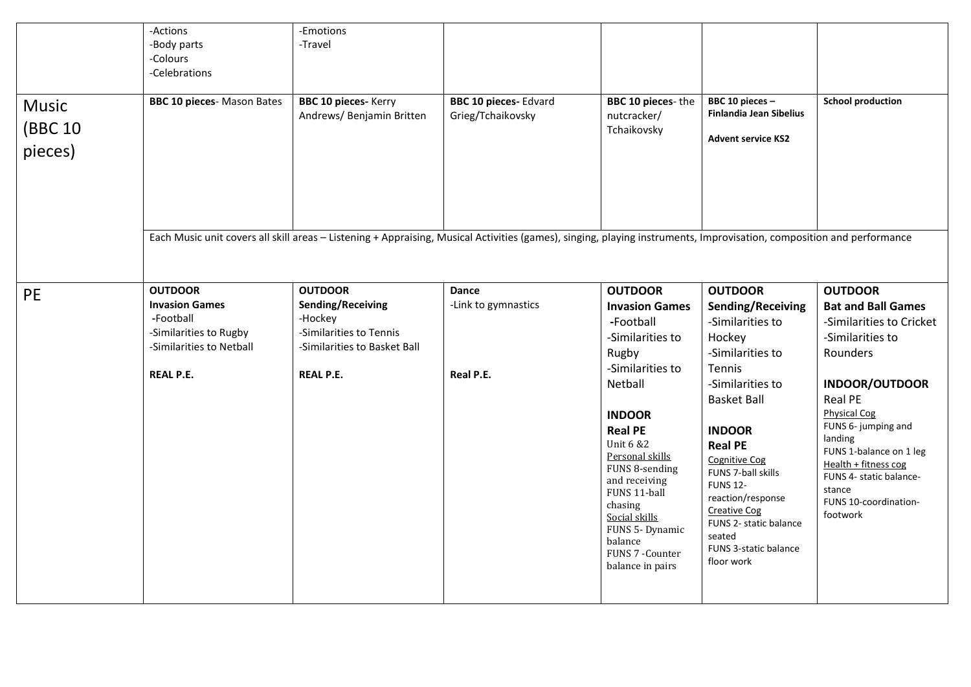| -Actions<br>-Body parts<br>-Colours<br>-Celebrations<br><b>BBC 10 pieces-</b> Mason Bates | -Emotions<br>-Travel<br><b>BBC 10 pieces-Kerry</b><br>Andrews/ Benjamin Britten        | <b>BBC 10 pieces-Edvard</b><br>Grieg/Tchaikovsky | BBC 10 pieces-the<br>nutcracker/<br>Tchaikovsky                                                                                                                                                                                                                 | BBC 10 pieces -<br><b>Finlandia Jean Sibelius</b><br><b>Advent service KS2</b>                                                                                                                                                                                                                                         | <b>School production</b>                                                                                                                                                                                                                                                           |
|-------------------------------------------------------------------------------------------|----------------------------------------------------------------------------------------|--------------------------------------------------|-----------------------------------------------------------------------------------------------------------------------------------------------------------------------------------------------------------------------------------------------------------------|------------------------------------------------------------------------------------------------------------------------------------------------------------------------------------------------------------------------------------------------------------------------------------------------------------------------|------------------------------------------------------------------------------------------------------------------------------------------------------------------------------------------------------------------------------------------------------------------------------------|
| <b>OUTDOOR</b>                                                                            | <b>OUTDOOR</b>                                                                         | <b>Dance</b>                                     | <b>OUTDOOR</b>                                                                                                                                                                                                                                                  | <b>OUTDOOR</b>                                                                                                                                                                                                                                                                                                         | <b>OUTDOOR</b><br><b>Bat and Ball Games</b>                                                                                                                                                                                                                                        |
| -Football<br>-Similarities to Rugby<br>-Similarities to Netball<br><b>REAL P.E.</b>       | -Hockey<br>-Similarities to Tennis<br>-Similarities to Basket Ball<br><b>REAL P.E.</b> | Real P.E.                                        | -Football<br>-Similarities to<br>Rugby<br>-Similarities to<br>Netball<br><b>INDOOR</b><br><b>Real PE</b><br><b>Unit 6 &amp;2</b><br>Personal skills<br>FUNS 8-sending<br>and receiving<br>FUNS 11-ball<br>chasing<br>Social skills<br>FUNS 5-Dynamic<br>balance | -Similarities to<br>Hockey<br>-Similarities to<br><b>Tennis</b><br>-Similarities to<br><b>Basket Ball</b><br><b>INDOOR</b><br><b>Real PE</b><br><b>Cognitive Cog</b><br>FUNS 7-ball skills<br><b>FUNS 12-</b><br>reaction/response<br><b>Creative Cog</b><br>FUNS 2- static balance<br>seated<br>FUNS 3-static balance | -Similarities to Cricket<br>-Similarities to<br>Rounders<br><b>INDOOR/OUTDOOR</b><br>Real PE<br><b>Physical Cog</b><br>FUNS 6- jumping and<br>landing<br>FUNS 1-balance on 1 leg<br>Health + fitness cog<br>FUNS 4- static balance-<br>stance<br>FUNS 10-coordination-<br>footwork |
|                                                                                           | <b>Invasion Games</b>                                                                  | Sending/Receiving                                | -Link to gymnastics                                                                                                                                                                                                                                             | <b>Invasion Games</b>                                                                                                                                                                                                                                                                                                  | Each Music unit covers all skill areas - Listening + Appraising, Musical Activities (games), singing, playing instruments, Improvisation, composition and performance<br>Sending/Receiving                                                                                         |